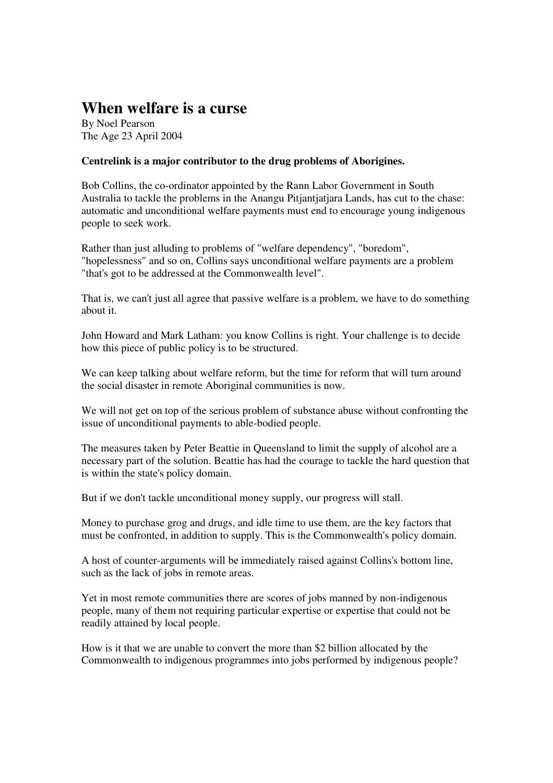## **When welfare is a curse**

By Noel Pearson The Age 23 April 2004

## **Centrelink is a major contributor to the drug problems of Aborigines.**

Bob Collins, the co-ordinator appointed by the Rann Labor Government in South Australia to tackle the problems in the Anangu Pitjantjatjara Lands, has cut to the chase: automatic and unconditional welfare payments must end to encourage young indigenous people to seek work.

Rather than just alluding to problems of "welfare dependency", "boredom", "hopelessness" and so on, Collins says unconditional welfare payments are a problem "that's got to be addressed at the Commonwealth level".

That is, we can't just all agree that passive welfare is a problem, we have to do something about it.

John Howard and Mark Latham: you know Collins is right. Your challenge is to decide how this piece of public policy is to be structured.

We can keep talking about welfare reform, but the time for reform that will turn around the social disaster in remote Aboriginal communities is now.

We will not get on top of the serious problem of substance abuse without confronting the issue of unconditional payments to able-bodied people.

The measures taken by Peter Beattie in Queensland to limit the supply of alcohol are a necessary part of the solution. Beattie has had the courage to tackle the hard question that is within the state's policy domain.

But if we don't tackle unconditional money supply, our progress will stall.

Money to purchase grog and drugs, and idle time to use them, are the key factors that must be confronted, in addition to supply. This is the Commonwealth's policy domain.

A host of counter-arguments will be immediately raised against Collins's bottom line, such as the lack of jobs in remote areas.

Yet in most remote communities there are scores of jobs manned by non-indigenous people, many of them not requiring particular expertise or expertise that could not be readily attained by local people.

How is it that we are unable to convert the more than \$2 billion allocated by the Commonwealth to indigenous programmes into jobs performed by indigenous people?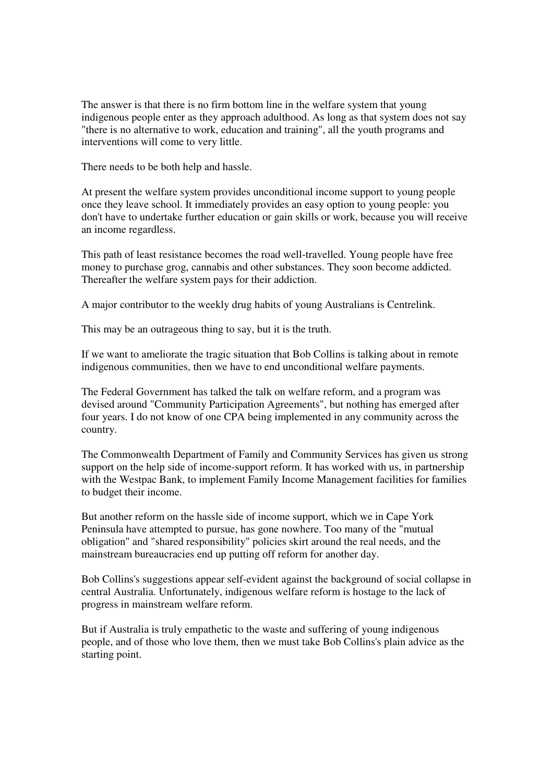The answer is that there is no firm bottom line in the welfare system that young indigenous people enter as they approach adulthood. As long as that system does not say "there is no alternative to work, education and training", all the youth programs and interventions will come to very little.

There needs to be both help and hassle.

At present the welfare system provides unconditional income support to young people once they leave school. It immediately provides an easy option to young people: you don't have to undertake further education or gain skills or work, because you will receive an income regardless.

This path of least resistance becomes the road well-travelled. Young people have free money to purchase grog, cannabis and other substances. They soon become addicted. Thereafter the welfare system pays for their addiction.

A major contributor to the weekly drug habits of young Australians is Centrelink.

This may be an outrageous thing to say, but it is the truth.

If we want to ameliorate the tragic situation that Bob Collins is talking about in remote indigenous communities, then we have to end unconditional welfare payments.

The Federal Government has talked the talk on welfare reform, and a program was devised around "Community Participation Agreements", but nothing has emerged after four years. I do not know of one CPA being implemented in any community across the country.

The Commonwealth Department of Family and Community Services has given us strong support on the help side of income-support reform. It has worked with us, in partnership with the Westpac Bank, to implement Family Income Management facilities for families to budget their income.

But another reform on the hassle side of income support, which we in Cape York Peninsula have attempted to pursue, has gone nowhere. Too many of the "mutual obligation" and "shared responsibility" policies skirt around the real needs, and the mainstream bureaucracies end up putting off reform for another day.

Bob Collins's suggestions appear self-evident against the background of social collapse in central Australia. Unfortunately, indigenous welfare reform is hostage to the lack of progress in mainstream welfare reform.

But if Australia is truly empathetic to the waste and suffering of young indigenous people, and of those who love them, then we must take Bob Collins's plain advice as the starting point.